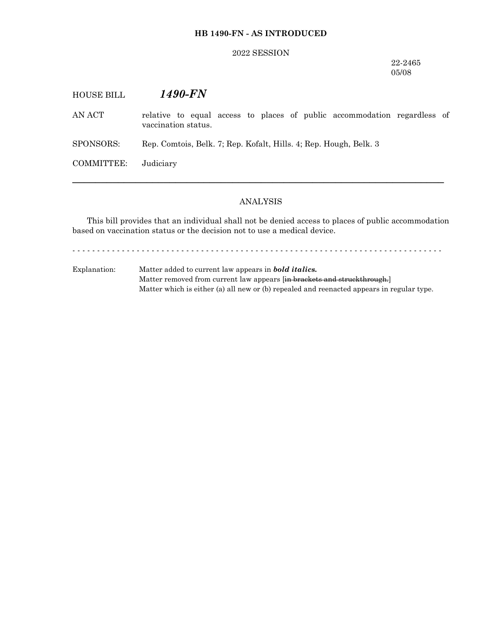## **HB 1490-FN - AS INTRODUCED**

### 2022 SESSION

22-2465 05/08

| <b>HOUSE BILL</b> | 1490-FN                                                                                         |
|-------------------|-------------------------------------------------------------------------------------------------|
| AN ACT            | relative to equal access to places of public accommodation regardless of<br>vaccination status. |
| SPONSORS:         | Rep. Comtois, Belk. 7; Rep. Kofalt, Hills. 4; Rep. Hough, Belk. 3                               |
| COMMITTEE:        | Judiciary                                                                                       |
|                   |                                                                                                 |

# ANALYSIS

This bill provides that an individual shall not be denied access to places of public accommodation based on vaccination status or the decision not to use a medical device.

- - - - - - - - - - - - - - - - - - - - - - - - - - - - - - - - - - - - - - - - - - - - - - - - - - - - - - - - - - - - - - - - - - - - - - - - - - -

Explanation: Matter added to current law appears in *bold italics.* Matter removed from current law appears [in brackets and struckthrough.] Matter which is either (a) all new or (b) repealed and reenacted appears in regular type.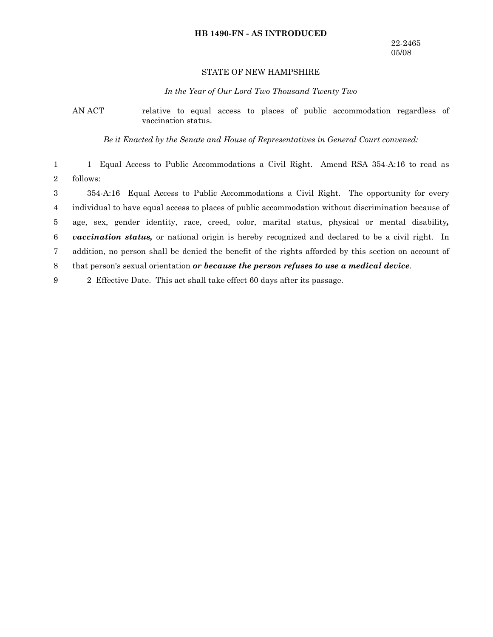### **HB 1490-FN - AS INTRODUCED**

## STATE OF NEW HAMPSHIRE

*In the Year of Our Lord Two Thousand Twenty Two*

AN ACT relative to equal access to places of public accommodation regardless of vaccination status.

*Be it Enacted by the Senate and House of Representatives in General Court convened:*

1 Equal Access to Public Accommodations a Civil Right. Amend RSA 354-A:16 to read as follows: 1 2

354-A:16 Equal Access to Public Accommodations a Civil Right. The opportunity for every individual to have equal access to places of public accommodation without discrimination because of age, sex, gender identity, race, creed, color, marital status, physical or mental disability*, vaccination status,* or national origin is hereby recognized and declared to be a civil right. In addition, no person shall be denied the benefit of the rights afforded by this section on account of that person's sexual orientation *or because the person refuses to use a medical device*. 3 4 5 6 7 8

2 Effective Date. This act shall take effect 60 days after its passage. 9